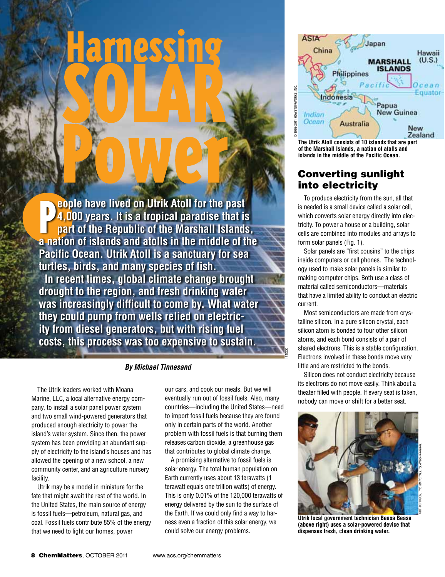**a l p a n e o i e n i i of i is a i c i c i c i c i c i c i c i c i c i c i c i c i c i c i c i c i c i c i c i eople have lived on Utrik Atoll for the past 4,000 years. It is a tropical paradise that is part of the Republic of the Marshall Islands, Pacific Ocean. Utrik Atoll is a sanctuary for sea turtles, birds, and many species of fish. In recent times, global climate change brought drought to the region, and fresh drinking water was increasingly difficult to come by. What water they could pump from wells relied on electricity from diesel generators, but with rising fuel costs, this process was too expensive to sustain.**

### *By Michael Tinnesand*

The Utrik leaders worked with Moana Marine, LLC, a local alternative energy company, to install a solar panel power system and two small wind-powered generators that produced enough electricity to power the island's water system. Since then, the power system has been providing an abundant supply of electricity to the island's houses and has allowed the opening of a new school, a new community center, and an agriculture nursery facility.

Utrik may be a model in miniature for the fate that might await the rest of the world. In the United States, the main source of energy is fossil fuels—petroleum, natural gas, and coal. Fossil fuels contribute 85% of the energy that we need to light our homes, power

our cars, and cook our meals. But we will eventually run out of fossil fuels. Also, many countries—including the United States—need to import fossil fuels because they are found only in certain parts of the world. Another problem with fossil fuels is that burning them releases carbon dioxide, a greenhouse gas that contributes to global climate change.

A promising alternative to fossil fuels is solar energy. The total human population on Earth currently uses about 13 terawatts (1 terawatt equals one trillion watts) of energy. This is only 0.01% of the 120,000 terawatts of energy delivered by the sun to the surface of the Earth. If we could only find a way to harness even a fraction of this solar energy, we could solve our energy problems.



**of the Marshall Islands, a nation of atolls and islands in the middle of the Pacific Ocean.**

## Converting sunlight into electricity

To produce electricity from the sun, all that is needed is a small device called a solar cell, which converts solar energy directly into electricity. To power a house or a building, solar cells are combined into modules and arrays to form solar panels (Fig. 1).

Solar panels are "first cousins" to the chips inside computers or cell phones. The technology used to make solar panels is similar to making computer chips. Both use a class of material called semiconductors—materials that have a limited ability to conduct an electric current.

Most semiconductors are made from crystalline silicon. In a pure silicon crystal, each silicon atom is bonded to four other silicon atoms, and each bond consists of a pair of shared electrons. This is a stable configuration. Electrons involved in these bonds move very little and are restricted to the bonds.

istock

Silicon does not conduct electricity because its electrons do not move easily. Think about a theater filled with people. If every seat is taken, nobody can move or shift for a better seat.



**Utrik local government technician Beasa Beasa (above right) uses a solar-powered device that dispenses fresh, clean drinking water.**